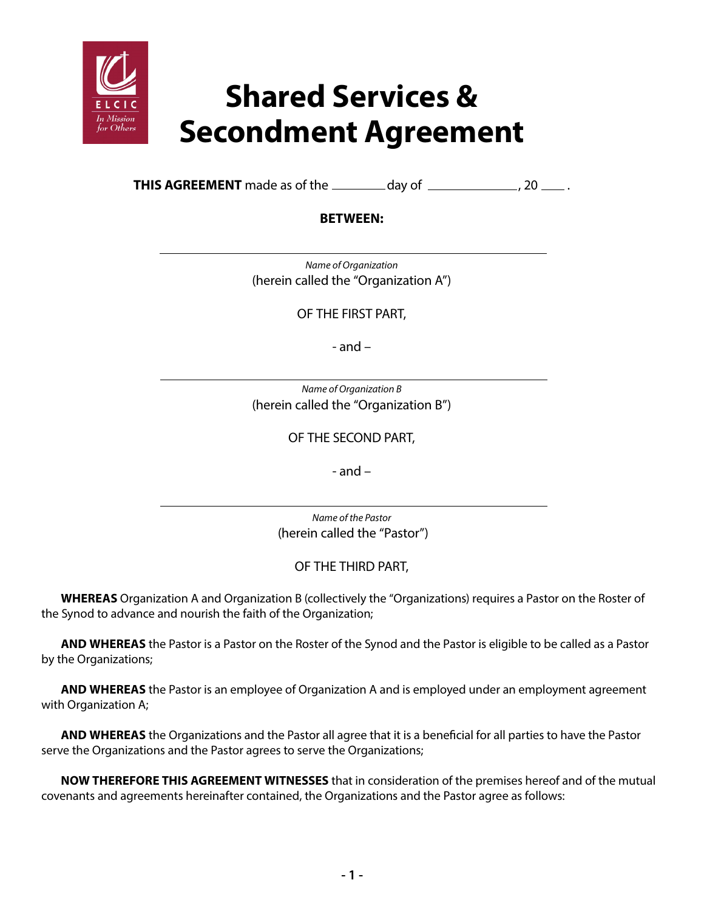

· Othe

**THIS AGREEMENT** made as of the  $\_\_\_\_$  day of  $\_\_\_\_\_\_$ , 20  $\_\_\_\$ .

## **BETWEEN:**

*Name of Organization*  (herein called the "Organization A")

OF THE FIRST PART,

- and –

*Name of Organization B* (herein called the "Organization B")

OF THE SECOND PART,

- and –

*Name of the Pastor* (herein called the "Pastor")

OF THE THIRD PART,

**WHEREAS** Organization A and Organization B (collectively the "Organizations) requires a Pastor on the Roster of the Synod to advance and nourish the faith of the Organization;

**AND WHEREAS** the Pastor is a Pastor on the Roster of the Synod and the Pastor is eligible to be called as a Pastor by the Organizations;

**AND WHEREAS** the Pastor is an employee of Organization A and is employed under an employment agreement with Organization A;

**AND WHEREAS** the Organizations and the Pastor all agree that it is a beneficial for all parties to have the Pastor serve the Organizations and the Pastor agrees to serve the Organizations;

**NOW THEREFORE THIS AGREEMENT WITNESSES** that in consideration of the premises hereof and of the mutual covenants and agreements hereinafter contained, the Organizations and the Pastor agree as follows: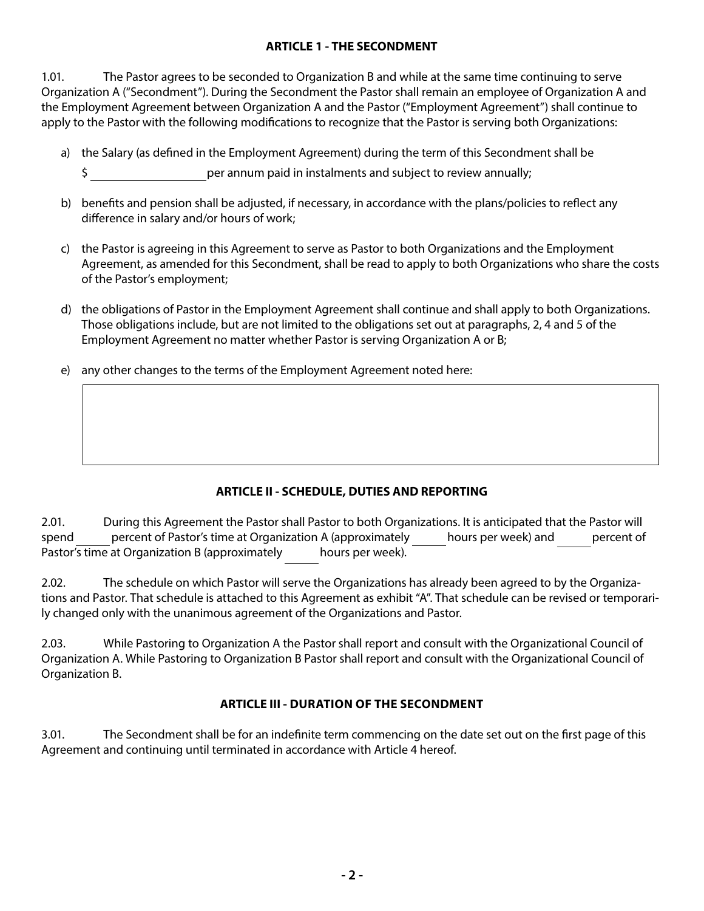### **ARTICLE 1 - THE SECONDMENT**

1.01. The Pastor agrees to be seconded to Organization B and while at the same time continuing to serve Organization A ("Secondment"). During the Secondment the Pastor shall remain an employee of Organization A and the Employment Agreement between Organization A and the Pastor ("Employment Agreement") shall continue to apply to the Pastor with the following modifications to recognize that the Pastor is serving both Organizations:

- a) the Salary (as defined in the Employment Agreement) during the term of this Secondment shall be
	- \$ per annum paid in instalments and subject to review annually;
- b) benefits and pension shall be adjusted, if necessary, in accordance with the plans/policies to reflect any difference in salary and/or hours of work;
- c) the Pastor is agreeing in this Agreement to serve as Pastor to both Organizations and the Employment Agreement, as amended for this Secondment, shall be read to apply to both Organizations who share the costs of the Pastor's employment;
- d) the obligations of Pastor in the Employment Agreement shall continue and shall apply to both Organizations. Those obligations include, but are not limited to the obligations set out at paragraphs, 2, 4 and 5 of the Employment Agreement no matter whether Pastor is serving Organization A or B;
- e) any other changes to the terms of the Employment Agreement noted here:

# **ARTICLE II - SCHEDULE, DUTIES AND REPORTING**

2.01. During this Agreement the Pastor shall Pastor to both Organizations. It is anticipated that the Pastor will spend percent of Pastor's time at Organization A (approximately hours per week) and percent of Pastor's time at Organization B (approximately hours per week).

2.02. The schedule on which Pastor will serve the Organizations has already been agreed to by the Organizations and Pastor. That schedule is attached to this Agreement as exhibit "A". That schedule can be revised or temporarily changed only with the unanimous agreement of the Organizations and Pastor.

2.03. While Pastoring to Organization A the Pastor shall report and consult with the Organizational Council of Organization A. While Pastoring to Organization B Pastor shall report and consult with the Organizational Council of Organization B.

## **ARTICLE III - DURATION OF THE SECONDMENT**

3.01. The Secondment shall be for an indefinite term commencing on the date set out on the first page of this Agreement and continuing until terminated in accordance with Article 4 hereof.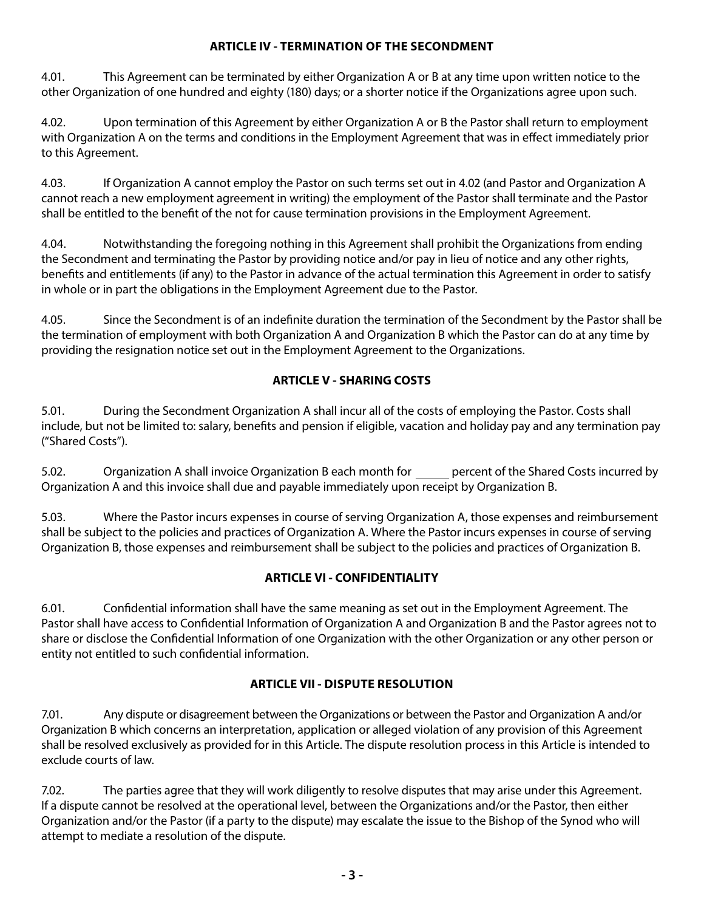#### **ARTICLE IV - TERMINATION OF THE SECONDMENT**

4.01. This Agreement can be terminated by either Organization A or B at any time upon written notice to the other Organization of one hundred and eighty (180) days; or a shorter notice if the Organizations agree upon such.

4.02. Upon termination of this Agreement by either Organization A or B the Pastor shall return to employment with Organization A on the terms and conditions in the Employment Agreement that was in effect immediately prior to this Agreement.

4.03. If Organization A cannot employ the Pastor on such terms set out in 4.02 (and Pastor and Organization A cannot reach a new employment agreement in writing) the employment of the Pastor shall terminate and the Pastor shall be entitled to the benefit of the not for cause termination provisions in the Employment Agreement.

4.04. Notwithstanding the foregoing nothing in this Agreement shall prohibit the Organizations from ending the Secondment and terminating the Pastor by providing notice and/or pay in lieu of notice and any other rights, benefits and entitlements (if any) to the Pastor in advance of the actual termination this Agreement in order to satisfy in whole or in part the obligations in the Employment Agreement due to the Pastor.

4.05. Since the Secondment is of an indefinite duration the termination of the Secondment by the Pastor shall be the termination of employment with both Organization A and Organization B which the Pastor can do at any time by providing the resignation notice set out in the Employment Agreement to the Organizations.

## **ARTICLE V - SHARING COSTS**

5.01. During the Secondment Organization A shall incur all of the costs of employing the Pastor. Costs shall include, but not be limited to: salary, benefits and pension if eligible, vacation and holiday pay and any termination pay ("Shared Costs").

5.02. Organization A shall invoice Organization B each month for percent of the Shared Costs incurred by Organization A and this invoice shall due and payable immediately upon receipt by Organization B.

5.03. Where the Pastor incurs expenses in course of serving Organization A, those expenses and reimbursement shall be subject to the policies and practices of Organization A. Where the Pastor incurs expenses in course of serving Organization B, those expenses and reimbursement shall be subject to the policies and practices of Organization B.

## **ARTICLE VI - CONFIDENTIALITY**

6.01. Confidential information shall have the same meaning as set out in the Employment Agreement. The Pastor shall have access to Confidential Information of Organization A and Organization B and the Pastor agrees not to share or disclose the Confidential Information of one Organization with the other Organization or any other person or entity not entitled to such confidential information.

## **ARTICLE VII - DISPUTE RESOLUTION**

7.01. Any dispute or disagreement between the Organizations or between the Pastor and Organization A and/or Organization B which concerns an interpretation, application or alleged violation of any provision of this Agreement shall be resolved exclusively as provided for in this Article. The dispute resolution process in this Article is intended to exclude courts of law.

7.02. The parties agree that they will work diligently to resolve disputes that may arise under this Agreement. If a dispute cannot be resolved at the operational level, between the Organizations and/or the Pastor, then either Organization and/or the Pastor (if a party to the dispute) may escalate the issue to the Bishop of the Synod who will attempt to mediate a resolution of the dispute.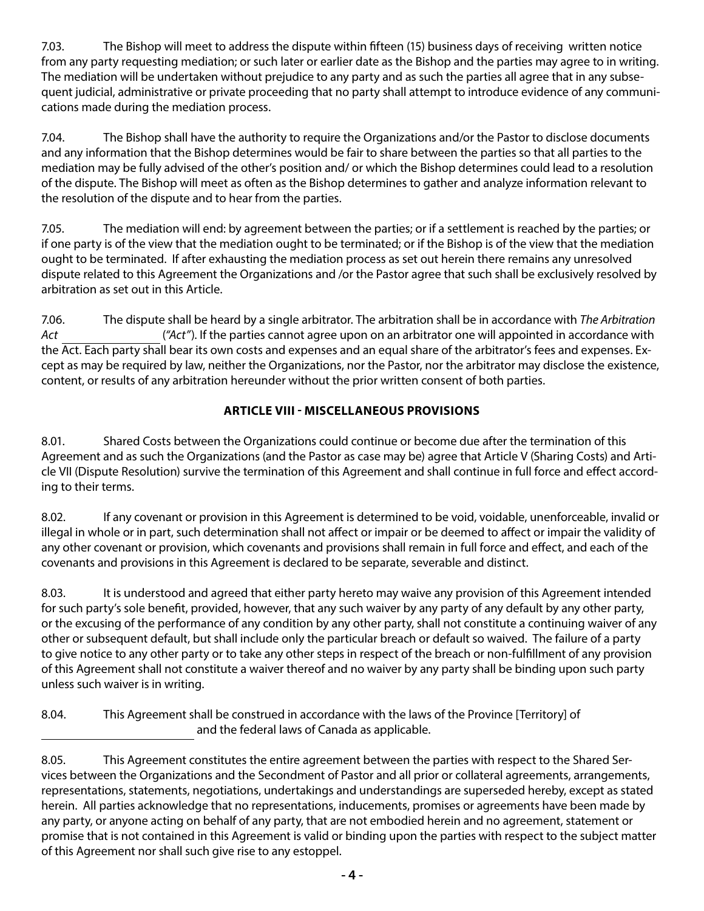7.03. The Bishop will meet to address the dispute within fifteen (15) business days of receiving written notice from any party requesting mediation; or such later or earlier date as the Bishop and the parties may agree to in writing. The mediation will be undertaken without prejudice to any party and as such the parties all agree that in any subsequent judicial, administrative or private proceeding that no party shall attempt to introduce evidence of any communications made during the mediation process.

7.04. The Bishop shall have the authority to require the Organizations and/or the Pastor to disclose documents and any information that the Bishop determines would be fair to share between the parties so that all parties to the mediation may be fully advised of the other's position and/ or which the Bishop determines could lead to a resolution of the dispute. The Bishop will meet as often as the Bishop determines to gather and analyze information relevant to the resolution of the dispute and to hear from the parties.

7.05. The mediation will end: by agreement between the parties; or if a settlement is reached by the parties; or if one party is of the view that the mediation ought to be terminated; or if the Bishop is of the view that the mediation ought to be terminated. If after exhausting the mediation process as set out herein there remains any unresolved dispute related to this Agreement the Organizations and /or the Pastor agree that such shall be exclusively resolved by arbitration as set out in this Article.

7.06. The dispute shall be heard by a single arbitrator. The arbitration shall be in accordance with *The Arbitration Act* (*"Act"*). If the parties cannot agree upon on an arbitrator one will appointed in accordance with the Act. Each party shall bear its own costs and expenses and an equal share of the arbitrator's fees and expenses. Except as may be required by law, neither the Organizations, nor the Pastor, nor the arbitrator may disclose the existence, content, or results of any arbitration hereunder without the prior written consent of both parties.

# **ARTICLE VIII - MISCELLANEOUS PROVISIONS**

8.01. Shared Costs between the Organizations could continue or become due after the termination of this Agreement and as such the Organizations (and the Pastor as case may be) agree that Article V (Sharing Costs) and Article VII (Dispute Resolution) survive the termination of this Agreement and shall continue in full force and effect according to their terms.

8.02. If any covenant or provision in this Agreement is determined to be void, voidable, unenforceable, invalid or illegal in whole or in part, such determination shall not affect or impair or be deemed to affect or impair the validity of any other covenant or provision, which covenants and provisions shall remain in full force and effect, and each of the covenants and provisions in this Agreement is declared to be separate, severable and distinct.

8.03. It is understood and agreed that either party hereto may waive any provision of this Agreement intended for such party's sole benefit, provided, however, that any such waiver by any party of any default by any other party, or the excusing of the performance of any condition by any other party, shall not constitute a continuing waiver of any other or subsequent default, but shall include only the particular breach or default so waived. The failure of a party to give notice to any other party or to take any other steps in respect of the breach or non-fulfillment of any provision of this Agreement shall not constitute a waiver thereof and no waiver by any party shall be binding upon such party unless such waiver is in writing.

8.04. This Agreement shall be construed in accordance with the laws of the Province [Territory] of and the federal laws of Canada as applicable.

<sup>8.05.</sup> This Agreement constitutes the entire agreement between the parties with respect to the Shared Services between the Organizations and the Secondment of Pastor and all prior or collateral agreements, arrangements, representations, statements, negotiations, undertakings and understandings are superseded hereby, except as stated herein. All parties acknowledge that no representations, inducements, promises or agreements have been made by any party, or anyone acting on behalf of any party, that are not embodied herein and no agreement, statement or promise that is not contained in this Agreement is valid or binding upon the parties with respect to the subject matter of this Agreement nor shall such give rise to any estoppel.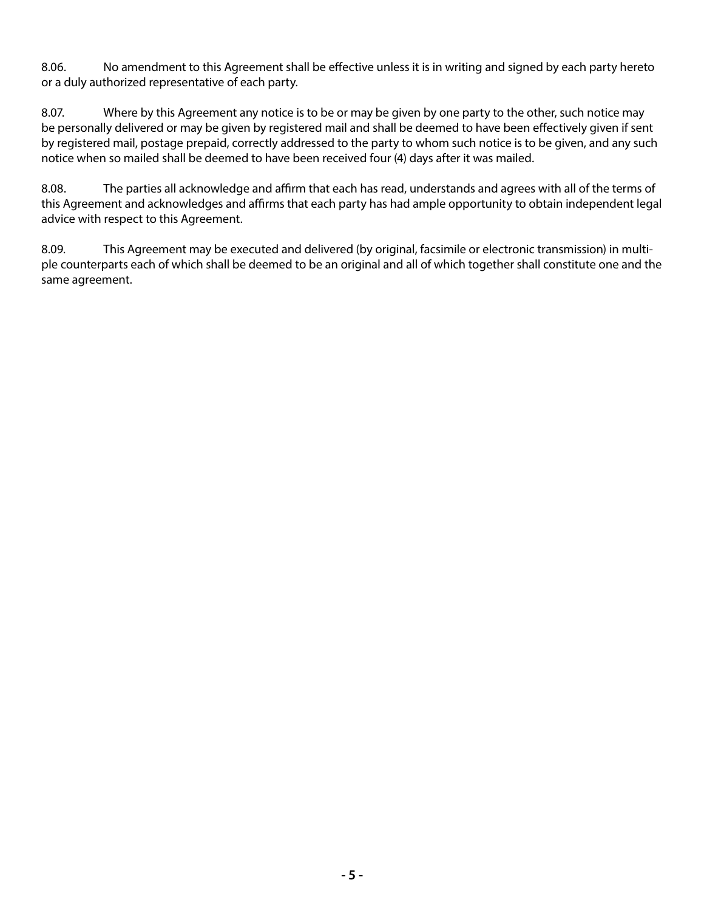8.06. No amendment to this Agreement shall be effective unless it is in writing and signed by each party hereto or a duly authorized representative of each party.

8.07. Where by this Agreement any notice is to be or may be given by one party to the other, such notice may be personally delivered or may be given by registered mail and shall be deemed to have been effectively given if sent by registered mail, postage prepaid, correctly addressed to the party to whom such notice is to be given, and any such notice when so mailed shall be deemed to have been received four (4) days after it was mailed.

8.08. The parties all acknowledge and affirm that each has read, understands and agrees with all of the terms of this Agreement and acknowledges and affirms that each party has had ample opportunity to obtain independent legal advice with respect to this Agreement.

8.09. This Agreement may be executed and delivered (by original, facsimile or electronic transmission) in multiple counterparts each of which shall be deemed to be an original and all of which together shall constitute one and the same agreement.